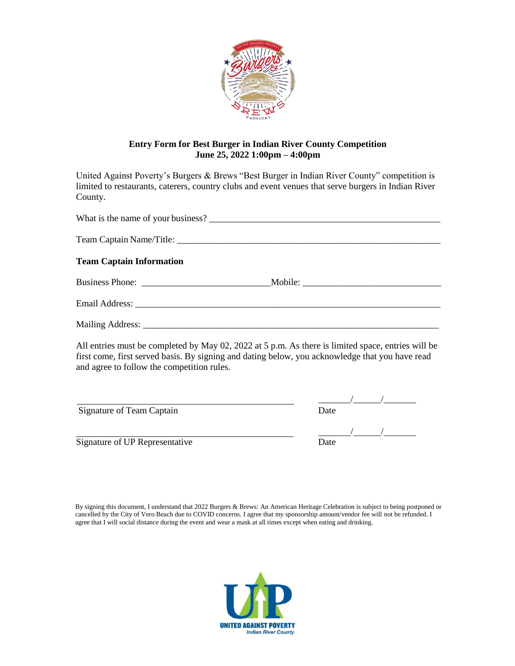

## **Entry Form for Best Burger in Indian River County Competition June 25, 2022 1:00pm – 4:00pm**

United Against Poverty's Burgers & Brews "Best Burger in Indian River County" competition is limited to restaurants, caterers, country clubs and event venues that serve burgers in Indian River County.

| What is the name of your business? |  |
|------------------------------------|--|
|                                    |  |
| <b>Team Captain Information</b>    |  |
|                                    |  |
|                                    |  |
|                                    |  |

All entries must be completed by May 02, 2022 at 5 p.m. As there is limited space, entries will be first come, first served basis. By signing and dating below, you acknowledge that you have read and agree to follow the competition rules.

Signature of Team Captain

Signature of UP Representative

| Date |  |  |
|------|--|--|
|      |  |  |

| Date |  |  |
|------|--|--|

By signing this document, I understand that 2022 Burgers & Brews: An American Heritage Celebration is subject to being postponed or cancelled by the City of Vero Beach due to COVID concerns. I agree that my sponsorship amount/vendor fee will not be refunded. I agree that I will social distance during the event and wear a mask at all times except when eating and drinking.

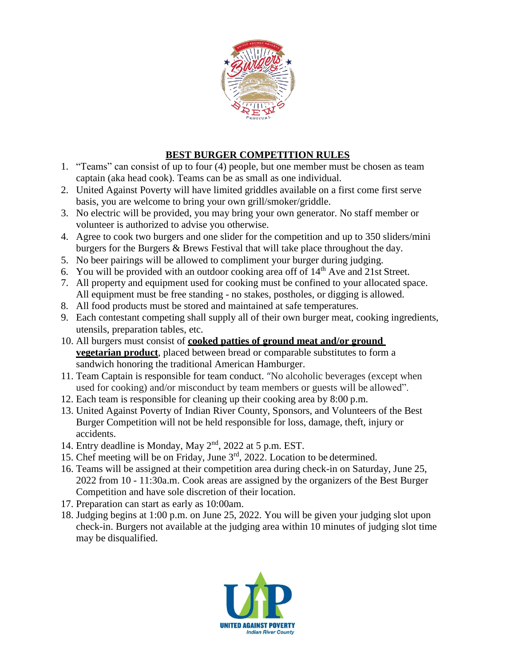

## **BEST BURGER COMPETITION RULES**

- 1. "Teams" can consist of up to four (4) people, but one member must be chosen as team captain (aka head cook). Teams can be as small as one individual.
- 2. United Against Poverty will have limited griddles available on a first come first serve basis, you are welcome to bring your own grill/smoker/griddle.
- 3. No electric will be provided, you may bring your own generator. No staff member or volunteer is authorized to advise you otherwise.
- 4. Agree to cook two burgers and one slider for the competition and up to 350 sliders/mini burgers for the Burgers & Brews Festival that will take place throughout the day.
- 5. No beer pairings will be allowed to compliment your burger during judging.
- 6. You will be provided with an outdoor cooking area off of  $14<sup>th</sup>$  Ave and 21st Street.
- 7. All property and equipment used for cooking must be confined to your allocated space. All equipment must be free standing - no stakes, postholes, or digging is allowed.
- 8. All food products must be stored and maintained at safe temperatures.
- 9. Each contestant competing shall supply all of their own burger meat, cooking ingredients, utensils, preparation tables, etc.
- 10. All burgers must consist of **cooked patties of ground meat and/or ground vegetarian product**, placed between bread or comparable substitutes to form a sandwich honoring the traditional American Hamburger.
- 11. Team Captain is responsible for team conduct. "No alcoholic beverages (except when used for cooking) and/or misconduct by team members or guests will be allowed".
- 12. Each team is responsible for cleaning up their cooking area by 8:00 p.m.
- 13. United Against Poverty of Indian River County, Sponsors, and Volunteers of the Best Burger Competition will not be held responsible for loss, damage, theft, injury or accidents.
- 14. Entry deadline is Monday, May 2<sup>nd</sup>, 2022 at 5 p.m. EST.
- 15. Chef meeting will be on Friday, June 3rd , 2022. Location to be determined.
- 16. Teams will be assigned at their competition area during check-in on Saturday, June 25, 2022 from 10 - 11:30a.m. Cook areas are assigned by the organizers of the Best Burger Competition and have sole discretion of their location.
- 17. Preparation can start as early as 10:00am.
- 18. Judging begins at 1:00 p.m. on June 25, 2022. You will be given your judging slot upon check-in. Burgers not available at the judging area within 10 minutes of judging slot time may be disqualified.